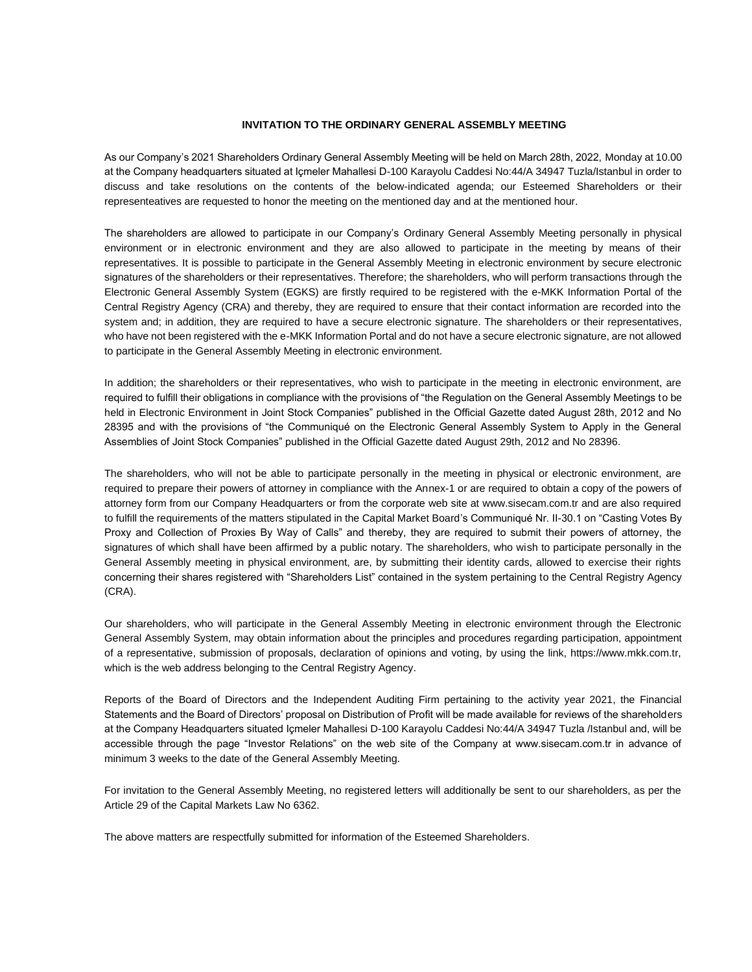#### **INVITATION TO THE ORDINARY GENERAL ASSEMBLY MEETING**

As our Company's 2021 Shareholders Ordinary General Assembly Meeting will be held on March 28th, 2022, Monday at 10.00 at the Company headquarters situated at Içmeler Mahallesi D-100 Karayolu Caddesi No:44/A 34947 Tuzla/Istanbul in order to discuss and take resolutions on the contents of the below-indicated agenda; our Esteemed Shareholders or their representeatives are requested to honor the meeting on the mentioned day and at the mentioned hour.

The shareholders are allowed to participate in our Company's Ordinary General Assembly Meeting personally in physical environment or in electronic environment and they are also allowed to participate in the meeting by means of their representatives. It is possible to participate in the General Assembly Meeting in electronic environment by secure electronic signatures of the shareholders or their representatives. Therefore; the shareholders, who will perform transactions through the Electronic General Assembly System (EGKS) are firstly required to be registered with the e-MKK Information Portal of the Central Registry Agency (CRA) and thereby, they are required to ensure that their contact information are recorded into the system and; in addition, they are required to have a secure electronic signature. The shareholders or their representatives, who have not been registered with the e-MKK Information Portal and do not have a secure electronic signature, are not allowed to participate in the General Assembly Meeting in electronic environment.

In addition; the shareholders or their representatives, who wish to participate in the meeting in electronic environment, are required to fulfill their obligations in compliance with the provisions of "the Regulation on the General Assembly Meetings to be held in Electronic Environment in Joint Stock Companies" published in the Official Gazette dated August 28th, 2012 and No 28395 and with the provisions of "the Communiqué on the Electronic General Assembly System to Apply in the General Assemblies of Joint Stock Companies" published in the Official Gazette dated August 29th, 2012 and No 28396.

The shareholders, who will not be able to participate personally in the meeting in physical or electronic environment, are required to prepare their powers of attorney in compliance with the Annex-1 or are required to obtain a copy of the powers of attorney form from our Company Headquarters or from the corporate web site at www.sisecam.com.tr and are also required to fulfill the requirements of the matters stipulated in the Capital Market Board's Communiqué Nr. II-30.1 on "Casting Votes By Proxy and Collection of Proxies By Way of Calls" and thereby, they are required to submit their powers of attorney, the signatures of which shall have been affirmed by a public notary. The shareholders, who wish to participate personally in the General Assembly meeting in physical environment, are, by submitting their identity cards, allowed to exercise their rights concerning their shares registered with "Shareholders List" contained in the system pertaining to the Central Registry Agency (CRA).

Our shareholders, who will participate in the General Assembly Meeting in electronic environment through the Electronic General Assembly System, may obtain information about the principles and procedures regarding participation, appointment of a representative, submission of proposals, declaration of opinions and voting, by using the link, https://www.mkk.com.tr, which is the web address belonging to the Central Registry Agency.

Reports of the Board of Directors and the Independent Auditing Firm pertaining to the activity year 2021, the Financial Statements and the Board of Directors' proposal on Distribution of Profit will be made available for reviews of the shareholders at the Company Headquarters situated Içmeler Mahallesi D-100 Karayolu Caddesi No:44/A 34947 Tuzla /Istanbul and, will be accessible through the page "Investor Relations" on the web site of the Company at www.sisecam.com.tr in advance of minimum 3 weeks to the date of the General Assembly Meeting.

For invitation to the General Assembly Meeting, no registered letters will additionally be sent to our shareholders, as per the Article 29 of the Capital Markets Law No 6362.

The above matters are respectfully submitted for information of the Esteemed Shareholders.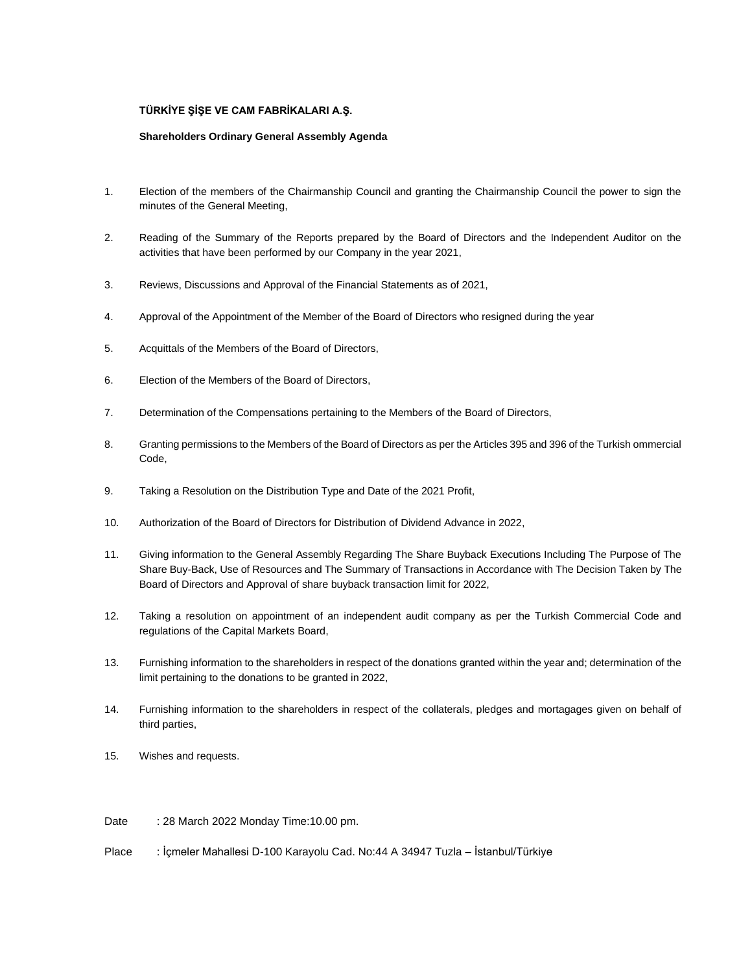## **TÜRKİYE ŞİŞE VE CAM FABRİKALARI A.Ş.**

### **Shareholders Ordinary General Assembly Agenda**

- 1. Election of the members of the Chairmanship Council and granting the Chairmanship Council the power to sign the minutes of the General Meeting,
- 2. Reading of the Summary of the Reports prepared by the Board of Directors and the Independent Auditor on the activities that have been performed by our Company in the year 2021,
- 3. Reviews, Discussions and Approval of the Financial Statements as of 2021,
- 4. Approval of the Appointment of the Member of the Board of Directors who resigned during the year
- 5. Acquittals of the Members of the Board of Directors,
- 6. Election of the Members of the Board of Directors,
- 7. Determination of the Compensations pertaining to the Members of the Board of Directors,
- 8. Granting permissions to the Members of the Board of Directors as per the Articles 395 and 396 of the Turkish ommercial Code,
- 9. Taking a Resolution on the Distribution Type and Date of the 2021 Profit,
- 10. Authorization of the Board of Directors for Distribution of Dividend Advance in 2022,
- 11. Giving information to the General Assembly Regarding The Share Buyback Executions Including The Purpose of The Share Buy-Back, Use of Resources and The Summary of Transactions in Accordance with The Decision Taken by The Board of Directors and Approval of share buyback transaction limit for 2022,
- 12. Taking a resolution on appointment of an independent audit company as per the Turkish Commercial Code and regulations of the Capital Markets Board,
- 13. Furnishing information to the shareholders in respect of the donations granted within the year and; determination of the limit pertaining to the donations to be granted in 2022,
- 14. Furnishing information to the shareholders in respect of the collaterals, pledges and mortagages given on behalf of third parties,
- 15. Wishes and requests.

Date : 28 March 2022 Monday Time: 10.00 pm.

Place : İçmeler Mahallesi D-100 Karayolu Cad. No:44 A 34947 Tuzla – İstanbul/Türkiye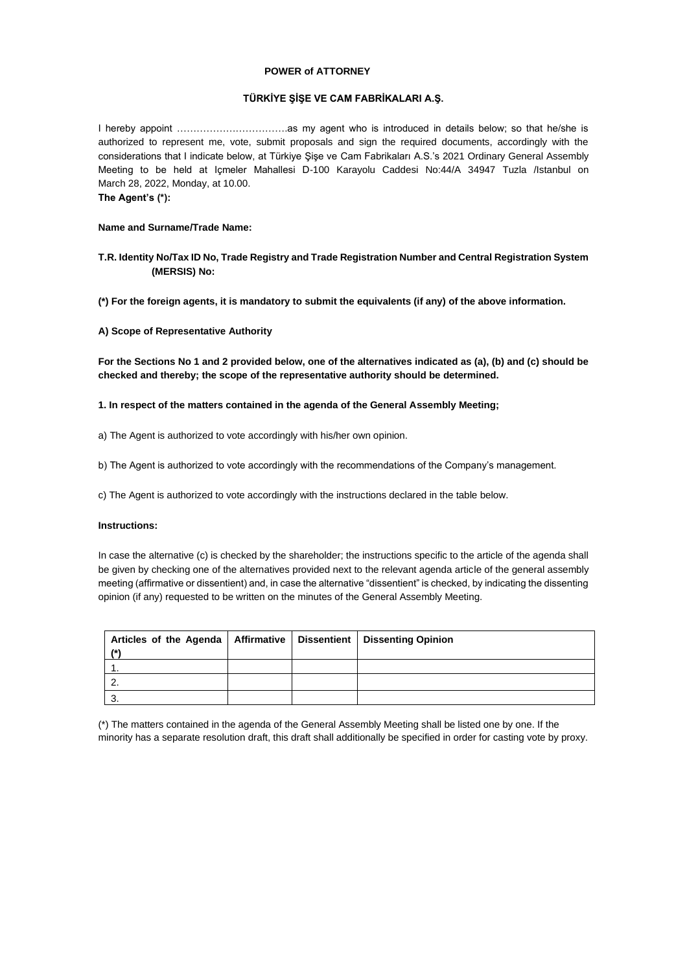#### **POWER of ATTORNEY**

### **TÜRKİYE ŞİŞE VE CAM FABRİKALARI A.Ş.**

I hereby appoint …………………………….as my agent who is introduced in details below; so that he/she is authorized to represent me, vote, submit proposals and sign the required documents, accordingly with the considerations that I indicate below, at Türkiye Şişe ve Cam Fabrikaları A.S.'s 2021 Ordinary General Assembly Meeting to be held at Içmeler Mahallesi D-100 Karayolu Caddesi No:44/A 34947 Tuzla /Istanbul on March 28, 2022, Monday, at 10.00. **The Agent's (\*):**

#### **Name and Surname/Trade Name:**

## **T.R. Identity No/Tax ID No, Trade Registry and Trade Registration Number and Central Registration System (MERSIS) No:**

**(\*) For the foreign agents, it is mandatory to submit the equivalents (if any) of the above information.** 

#### **A) Scope of Representative Authority**

**For the Sections No 1 and 2 provided below, one of the alternatives indicated as (a), (b) and (c) should be checked and thereby; the scope of the representative authority should be determined.** 

#### **1. In respect of the matters contained in the agenda of the General Assembly Meeting;**

- a) The Agent is authorized to vote accordingly with his/her own opinion.
- b) The Agent is authorized to vote accordingly with the recommendations of the Company's management.
- c) The Agent is authorized to vote accordingly with the instructions declared in the table below.

## **Instructions:**

In case the alternative (c) is checked by the shareholder; the instructions specific to the article of the agenda shall be given by checking one of the alternatives provided next to the relevant agenda article of the general assembly meeting (affirmative or dissentient) and, in case the alternative "dissentient" is checked, by indicating the dissenting opinion (if any) requested to be written on the minutes of the General Assembly Meeting.

| Articles of the Agenda   Affirmative   Dissentient   Dissenting Opinion |  |  |
|-------------------------------------------------------------------------|--|--|
|                                                                         |  |  |
|                                                                         |  |  |
|                                                                         |  |  |
|                                                                         |  |  |

(\*) The matters contained in the agenda of the General Assembly Meeting shall be listed one by one. If the minority has a separate resolution draft, this draft shall additionally be specified in order for casting vote by proxy.